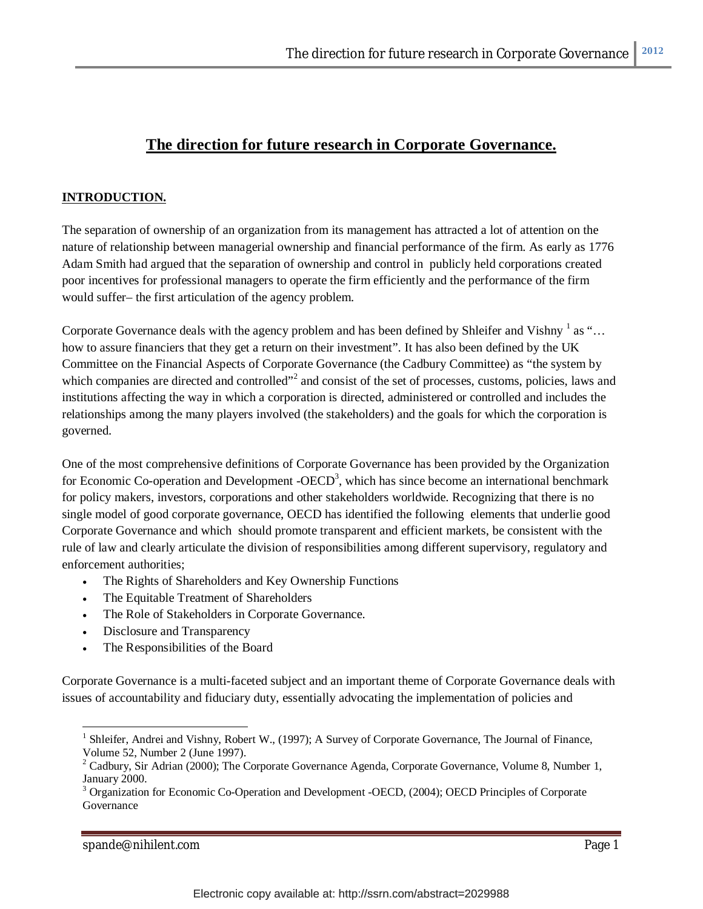# **The direction for future research in Corporate Governance.**

#### **INTRODUCTION.**

The separation of ownership of an organization from its management has attracted a lot of attention on the nature of relationship between managerial ownership and financial performance of the firm. As early as 1776 Adam Smith had argued that the separation of ownership and control in publicly held corporations created poor incentives for professional managers to operate the firm efficiently and the performance of the firm would suffer– the first articulation of the agency problem.

Corporate Governance deals with the agency problem and has been defined by Shleifer and Vishny  $^1$  as "... how to assure financiers that they get a return on their investment". It has also been defined by the UK Committee on the Financial Aspects of Corporate Governance (the Cadbury Committee) as "the system by which companies are directed and controlled"<sup>2</sup> and consist of the set of processes, customs, policies, laws and institutions affecting the way in which a corporation is directed, administered or controlled and includes the relationships among the many players involved (the stakeholders) and the goals for which the corporation is governed.

One of the most comprehensive definitions of Corporate Governance has been provided by the Organization for Economic Co-operation and Development - $OECD<sup>3</sup>$ , which has since become an international benchmark for policy makers, investors, corporations and other stakeholders worldwide. Recognizing that there is no single model of good corporate governance, OECD has identified the following elements that underlie good Corporate Governance and which should promote transparent and efficient markets, be consistent with the rule of law and clearly articulate the division of responsibilities among different supervisory, regulatory and enforcement authorities;

- The Rights of Shareholders and Key Ownership Functions
- The Equitable Treatment of Shareholders
- The Role of Stakeholders in Corporate Governance.
- Disclosure and Transparency
- The Responsibilities of the Board

Corporate Governance is a multi-faceted subject and an important theme of Corporate Governance deals with issues of accountability and fiduciary duty, essentially advocating the implementation of policies and

spande@nihilent.com Page 1 Page 1 Page 1 Page 1 Page 1 Page 1 Page 1 Page 1 Page 1 Page 1 Page 1 Page 1 Page 1

 $\overline{\phantom{a}}$ <sup>1</sup> Shleifer, Andrei and Vishny, Robert W., (1997); A Survey of Corporate Governance, The Journal of Finance, Volume 52, Number 2 (June 1997).

 $2$  Cadbury, Sir Adrian (2000); The Corporate Governance Agenda, Corporate Governance, Volume 8, Number 1, January 2000.

<sup>&</sup>lt;sup>3</sup> Organization for Economic Co-Operation and Development -OECD, (2004); OECD Principles of Corporate Governance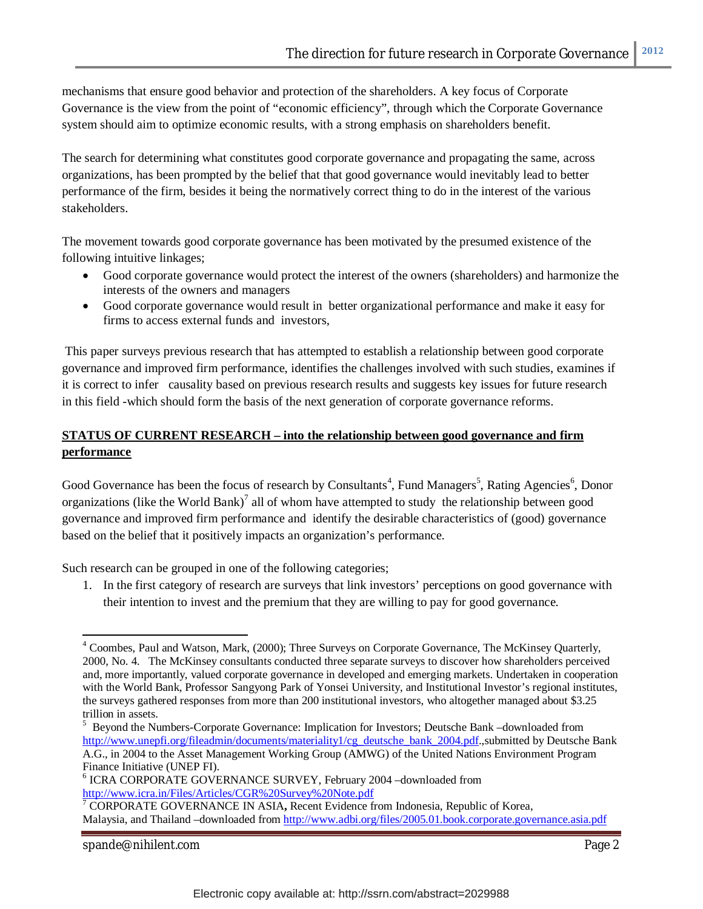mechanisms that ensure good behavior and protection of the shareholders. A key focus of Corporate Governance is the view from the point of "economic efficiency", through which the Corporate Governance system should aim to optimize economic results, with a strong emphasis on shareholders benefit.

The search for determining what constitutes good corporate governance and propagating the same, across organizations, has been prompted by the belief that that good governance would inevitably lead to better performance of the firm, besides it being the normatively correct thing to do in the interest of the various stakeholders.

The movement towards good corporate governance has been motivated by the presumed existence of the following intuitive linkages;

- Good corporate governance would protect the interest of the owners (shareholders) and harmonize the interests of the owners and managers
- Good corporate governance would result in better organizational performance and make it easy for firms to access external funds and investors,

This paper surveys previous research that has attempted to establish a relationship between good corporate governance and improved firm performance, identifies the challenges involved with such studies, examines if it is correct to infer causality based on previous research results and suggests key issues for future research in this field -which should form the basis of the next generation of corporate governance reforms.

## **STATUS OF CURRENT RESEARCH – into the relationship between good governance and firm performance**

Good Governance has been the focus of research by Consultants<sup>4</sup>, Fund Managers<sup>5</sup>, Rating Agencies<sup>6</sup>, Donor organizations (like the World Bank)<sup>7</sup> all of whom have attempted to study the relationship between good governance and improved firm performance and identify the desirable characteristics of (good) governance based on the belief that it positively impacts an organization's performance.

Such research can be grouped in one of the following categories;

1. In the first category of research are surveys that link investors' perceptions on good governance with their intention to invest and the premium that they are willing to pay for good governance.

spande@nihilent.com Page 2

 $\overline{\phantom{a}}$ <sup>4</sup> Coombes, Paul and Watson, Mark, (2000); Three Surveys on Corporate Governance, The McKinsey Quarterly, 2000, No. 4. The McKinsey consultants conducted three separate surveys to discover how shareholders perceived and, more importantly, valued corporate governance in developed and emerging markets. Undertaken in cooperation with the World Bank, Professor Sangyong Park of Yonsei University, and Institutional Investor's regional institutes, the surveys gathered responses from more than 200 institutional investors, who altogether managed about \$3.25 trillion in assets.

<sup>&</sup>lt;sup>5</sup> Beyond the Numbers-Corporate Governance: Implication for Investors; Deutsche Bank –downloaded from http://www.unepfi.org/fileadmin/documents/materiality1/cg\_deutsche\_bank\_2004.pdf.,submitted by Deutsche Bank A.G., in 2004 to the Asset Management Working Group (AMWG) of the United Nations Environment Program Finance Initiative (UNEP FI).

<sup>6</sup> ICRA CORPORATE GOVERNANCE SURVEY, February 2004 –downloaded from http://www.icra.in/Files/Articles/CGR%20Survey%20Note.pdf

<sup>7</sup> CORPORATE GOVERNANCE IN ASIA**,** Recent Evidence from Indonesia, Republic of Korea, Malaysia, and Thailand –downloaded from http://www.adbi.org/files/2005.01.book.corporate.governance.asia.pdf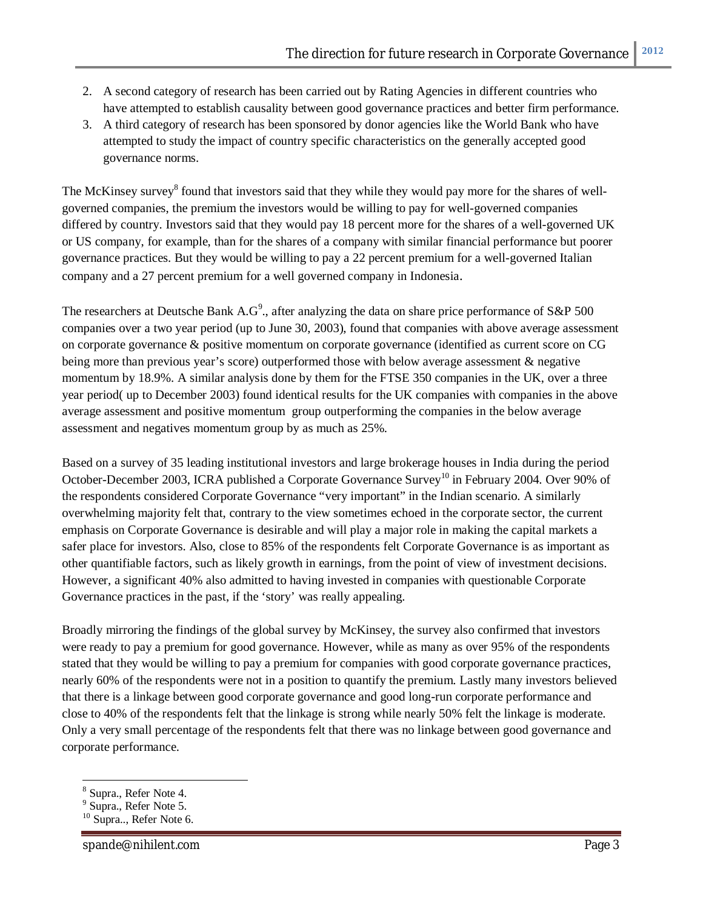- 2. A second category of research has been carried out by Rating Agencies in different countries who have attempted to establish causality between good governance practices and better firm performance.
- 3. A third category of research has been sponsored by donor agencies like the World Bank who have attempted to study the impact of country specific characteristics on the generally accepted good governance norms.

The McKinsey survey<sup>8</sup> found that investors said that they while they would pay more for the shares of wellgoverned companies, the premium the investors would be willing to pay for well-governed companies differed by country. Investors said that they would pay 18 percent more for the shares of a well-governed UK or US company, for example, than for the shares of a company with similar financial performance but poorer governance practices. But they would be willing to pay a 22 percent premium for a well-governed Italian company and a 27 percent premium for a well governed company in Indonesia.

The researchers at Deutsche Bank A.G<sup>9</sup>., after analyzing the data on share price performance of S&P 500 companies over a two year period (up to June 30, 2003), found that companies with above average assessment on corporate governance & positive momentum on corporate governance (identified as current score on CG being more than previous year's score) outperformed those with below average assessment & negative momentum by 18.9%. A similar analysis done by them for the FTSE 350 companies in the UK, over a three year period( up to December 2003) found identical results for the UK companies with companies in the above average assessment and positive momentum group outperforming the companies in the below average assessment and negatives momentum group by as much as 25%.

Based on a survey of 35 leading institutional investors and large brokerage houses in India during the period October-December 2003, ICRA published a Corporate Governance Survey<sup>10</sup> in February 2004. Over 90% of the respondents considered Corporate Governance "very important" in the Indian scenario. A similarly overwhelming majority felt that, contrary to the view sometimes echoed in the corporate sector, the current emphasis on Corporate Governance is desirable and will play a major role in making the capital markets a safer place for investors. Also, close to 85% of the respondents felt Corporate Governance is as important as other quantifiable factors, such as likely growth in earnings, from the point of view of investment decisions. However, a significant 40% also admitted to having invested in companies with questionable Corporate Governance practices in the past, if the 'story' was really appealing.

Broadly mirroring the findings of the global survey by McKinsey, the survey also confirmed that investors were ready to pay a premium for good governance. However, while as many as over 95% of the respondents stated that they would be willing to pay a premium for companies with good corporate governance practices, nearly 60% of the respondents were not in a position to quantify the premium. Lastly many investors believed that there is a linkage between good corporate governance and good long-run corporate performance and close to 40% of the respondents felt that the linkage is strong while nearly 50% felt the linkage is moderate. Only a very small percentage of the respondents felt that there was no linkage between good governance and corporate performance.

 $\overline{\phantom{a}}$ 

<sup>&</sup>lt;sup>8</sup> Supra., Refer Note 4.

<sup>&</sup>lt;sup>9</sup> Supra., Refer Note 5.

<sup>&</sup>lt;sup>10</sup> Supra.., Refer Note 6.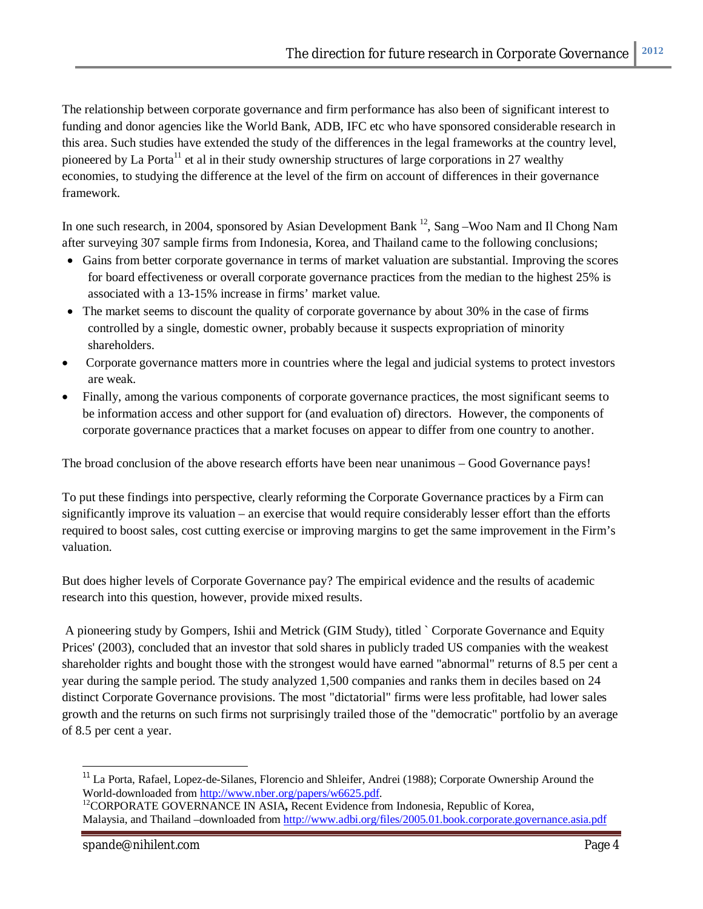The relationship between corporate governance and firm performance has also been of significant interest to funding and donor agencies like the World Bank, ADB, IFC etc who have sponsored considerable research in this area. Such studies have extended the study of the differences in the legal frameworks at the country level, pioneered by La Porta<sup>11</sup> et al in their study ownership structures of large corporations in 27 wealthy economies, to studying the difference at the level of the firm on account of differences in their governance framework.

In one such research, in 2004, sponsored by Asian Development Bank <sup>12</sup>, Sang –Woo Nam and Il Chong Nam after surveying 307 sample firms from Indonesia, Korea, and Thailand came to the following conclusions;

- Gains from better corporate governance in terms of market valuation are substantial. Improving the scores for board effectiveness or overall corporate governance practices from the median to the highest 25% is associated with a 13-15% increase in firms' market value.
- The market seems to discount the quality of corporate governance by about 30% in the case of firms controlled by a single, domestic owner, probably because it suspects expropriation of minority shareholders.
- Corporate governance matters more in countries where the legal and judicial systems to protect investors are weak.
- Finally, among the various components of corporate governance practices, the most significant seems to be information access and other support for (and evaluation of) directors. However, the components of corporate governance practices that a market focuses on appear to differ from one country to another.

The broad conclusion of the above research efforts have been near unanimous – Good Governance pays!

To put these findings into perspective, clearly reforming the Corporate Governance practices by a Firm can significantly improve its valuation – an exercise that would require considerably lesser effort than the efforts required to boost sales, cost cutting exercise or improving margins to get the same improvement in the Firm's valuation.

But does higher levels of Corporate Governance pay? The empirical evidence and the results of academic research into this question, however, provide mixed results.

A pioneering study by Gompers, Ishii and Metrick (GIM Study), titled ` Corporate Governance and Equity Prices' (2003), concluded that an investor that sold shares in publicly traded US companies with the weakest shareholder rights and bought those with the strongest would have earned "abnormal" returns of 8.5 per cent a year during the sample period. The study analyzed 1,500 companies and ranks them in deciles based on 24 distinct Corporate Governance provisions. The most "dictatorial" firms were less profitable, had lower sales growth and the returns on such firms not surprisingly trailed those of the "democratic" portfolio by an average of 8.5 per cent a year.

 $\overline{a}$ 

<sup>&</sup>lt;sup>11</sup> La Porta, Rafael, Lopez-de-Silanes, Florencio and Shleifer, Andrei (1988); Corporate Ownership Around the World-downloaded from http://www.nber.org/papers/w6625.pdf.

<sup>&</sup>lt;sup>12</sup>CORPORATE GOVERNANCE IN ASIA, Recent Evidence from Indonesia, Republic of Korea, Malaysia, and Thailand –downloaded from http://www.adbi.org/files/2005.01.book.corporate.governance.asia.pdf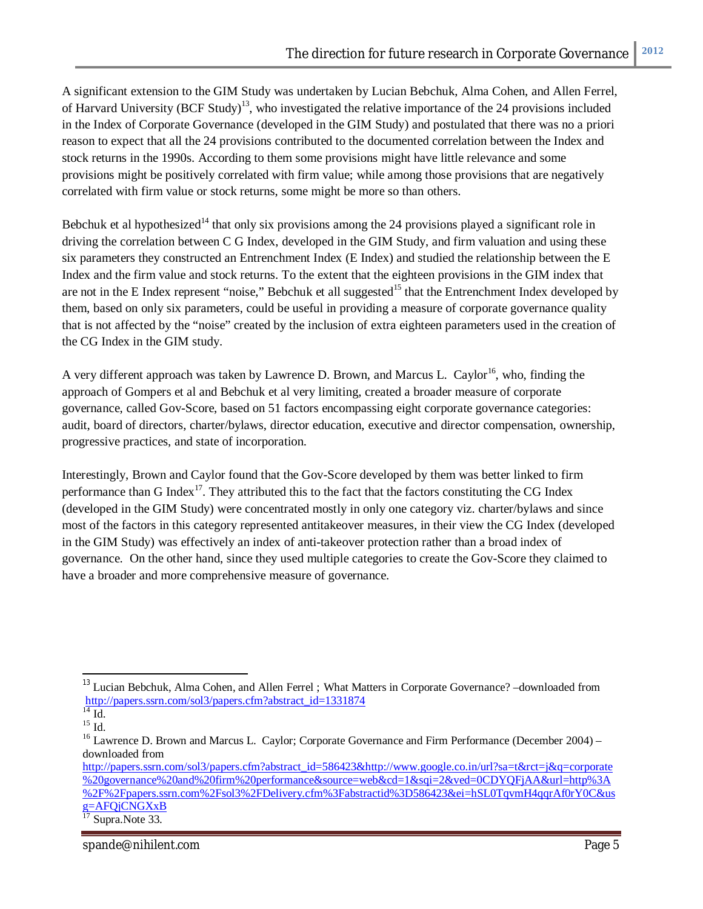A significant extension to the GIM Study was undertaken by Lucian Bebchuk, Alma Cohen, and Allen Ferrel, of Harvard University (BCF Study)<sup>13</sup>, who investigated the relative importance of the 24 provisions included in the Index of Corporate Governance (developed in the GIM Study) and postulated that there was no a priori reason to expect that all the 24 provisions contributed to the documented correlation between the Index and stock returns in the 1990s. According to them some provisions might have little relevance and some provisions might be positively correlated with firm value; while among those provisions that are negatively correlated with firm value or stock returns, some might be more so than others.

Bebchuk et al hypothesized<sup>14</sup> that only six provisions among the 24 provisions played a significant role in driving the correlation between C G Index, developed in the GIM Study, and firm valuation and using these six parameters they constructed an Entrenchment Index (E Index) and studied the relationship between the E Index and the firm value and stock returns. To the extent that the eighteen provisions in the GIM index that are not in the E Index represent "noise," Bebchuk et all suggested<sup>15</sup> that the Entrenchment Index developed by them, based on only six parameters, could be useful in providing a measure of corporate governance quality that is not affected by the "noise" created by the inclusion of extra eighteen parameters used in the creation of the CG Index in the GIM study.

A very different approach was taken by Lawrence D. Brown, and Marcus L. Caylor<sup>16</sup>, who, finding the approach of Gompers et al and Bebchuk et al very limiting, created a broader measure of corporate governance, called Gov-Score, based on 51 factors encompassing eight corporate governance categories: audit, board of directors, charter/bylaws, director education, executive and director compensation, ownership, progressive practices, and state of incorporation.

Interestingly, Brown and Caylor found that the Gov-Score developed by them was better linked to firm performance than G Index<sup>17</sup>. They attributed this to the fact that the factors constituting the CG Index (developed in the GIM Study) were concentrated mostly in only one category viz. charter/bylaws and since most of the factors in this category represented antitakeover measures, in their view the CG Index (developed in the GIM Study) was effectively an index of anti-takeover protection rather than a broad index of governance. On the other hand, since they used multiple categories to create the Gov-Score they claimed to have a broader and more comprehensive measure of governance.

 $\overline{\phantom{a}}$ 

spande@nihilent.com Page 5

<sup>&</sup>lt;sup>13</sup> Lucian Bebchuk, Alma Cohen, and Allen Ferrel ; What Matters in Corporate Governance? -downloaded from http://papers.ssrn.com/sol3/papers.cfm?abstract\_id=1331874

 $^{14}$  Id.

 $^{15}$  Id.

<sup>&</sup>lt;sup>16</sup> Lawrence D. Brown and Marcus L. Caylor; Corporate Governance and Firm Performance (December 2004) – downloaded from

http://papers.ssrn.com/sol3/papers.cfm?abstract\_id=586423&http://www.google.co.in/url?sa=t&rct=j&q=corporate %20governance%20and%20firm%20performance&source=web&cd=1&sqi=2&ved=0CDYQFjAA&url=http%3A %2F%2Fpapers.ssrn.com%2Fsol3%2FDelivery.cfm%3Fabstractid%3D586423&ei=hSL0TqvmH4qqrAf0rY0C&us g=AFQjCNGXxB

Supra.Note 33.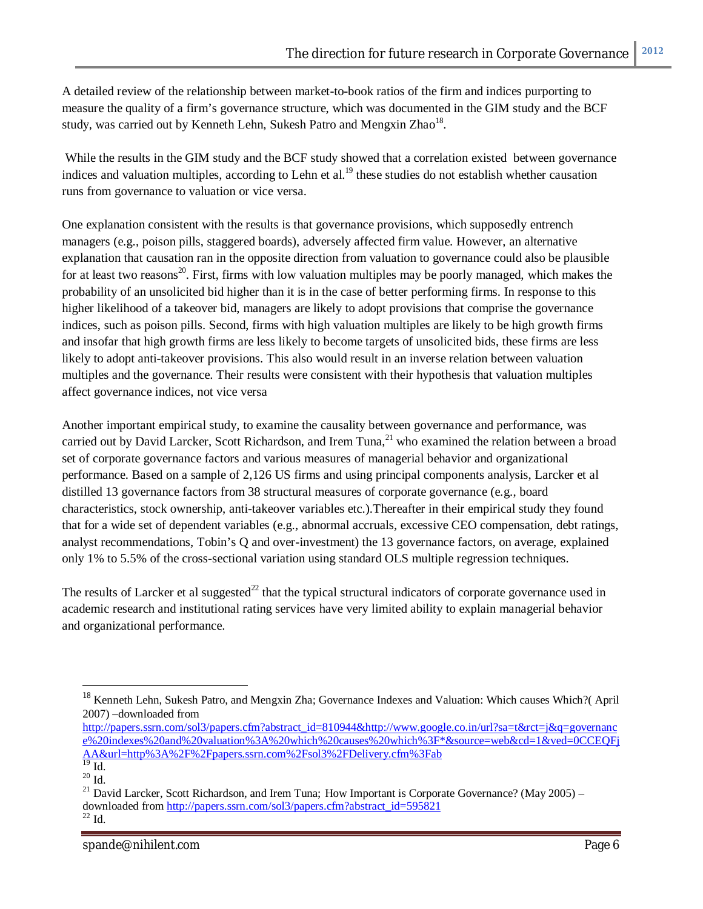A detailed review of the relationship between market-to-book ratios of the firm and indices purporting to measure the quality of a firm's governance structure, which was documented in the GIM study and the BCF study, was carried out by Kenneth Lehn, Sukesh Patro and Mengxin Zhao<sup>18</sup>.

While the results in the GIM study and the BCF study showed that a correlation existed between governance indices and valuation multiples, according to Lehn et al.<sup>19</sup> these studies do not establish whether causation runs from governance to valuation or vice versa.

One explanation consistent with the results is that governance provisions, which supposedly entrench managers (e.g., poison pills, staggered boards), adversely affected firm value. However, an alternative explanation that causation ran in the opposite direction from valuation to governance could also be plausible for at least two reasons<sup>20</sup>. First, firms with low valuation multiples may be poorly managed, which makes the probability of an unsolicited bid higher than it is in the case of better performing firms. In response to this higher likelihood of a takeover bid, managers are likely to adopt provisions that comprise the governance indices, such as poison pills. Second, firms with high valuation multiples are likely to be high growth firms and insofar that high growth firms are less likely to become targets of unsolicited bids, these firms are less likely to adopt anti-takeover provisions. This also would result in an inverse relation between valuation multiples and the governance. Their results were consistent with their hypothesis that valuation multiples affect governance indices, not vice versa

Another important empirical study, to examine the causality between governance and performance, was carried out by David Larcker, Scott Richardson, and Irem Tuna,<sup>21</sup> who examined the relation between a broad set of corporate governance factors and various measures of managerial behavior and organizational performance. Based on a sample of 2,126 US firms and using principal components analysis, Larcker et al distilled 13 governance factors from 38 structural measures of corporate governance (e.g., board characteristics, stock ownership, anti-takeover variables etc.).Thereafter in their empirical study they found that for a wide set of dependent variables (e.g., abnormal accruals, excessive CEO compensation, debt ratings, analyst recommendations, Tobin's Q and over-investment) the 13 governance factors, on average, explained only 1% to 5.5% of the cross-sectional variation using standard OLS multiple regression techniques.

The results of Larcker et al suggested<sup>22</sup> that the typical structural indicators of corporate governance used in academic research and institutional rating services have very limited ability to explain managerial behavior and organizational performance.

 $\overline{a}$ 

<sup>&</sup>lt;sup>18</sup> Kenneth Lehn, Sukesh Patro, and Mengxin Zha; Governance Indexes and Valuation: Which causes Which?(April 2007) –downloaded from

http://papers.ssrn.com/sol3/papers.cfm?abstract\_id=810944&http://www.google.co.in/url?sa=t&rct=j&q=governanc e%20indexes%20and%20valuation%3A%20which%20causes%20which%3F\*&source=web&cd=1&ved=0CCEQFj AA&url=http%3A%2F%2Fpapers.ssrn.com%2Fsol3%2FDelivery.cfm%3Fab

 $\overline{^{19}}$  Id.  $^{20}$  Id.

 $21$  David Larcker, Scott Richardson, and Irem Tuna; How Important is Corporate Governance? (May 2005) – downloaded from http://papers.ssrn.com/sol3/papers.cfm?abstract\_id=595821  $^{22}$  Id.

spande@nihilent.com Page 6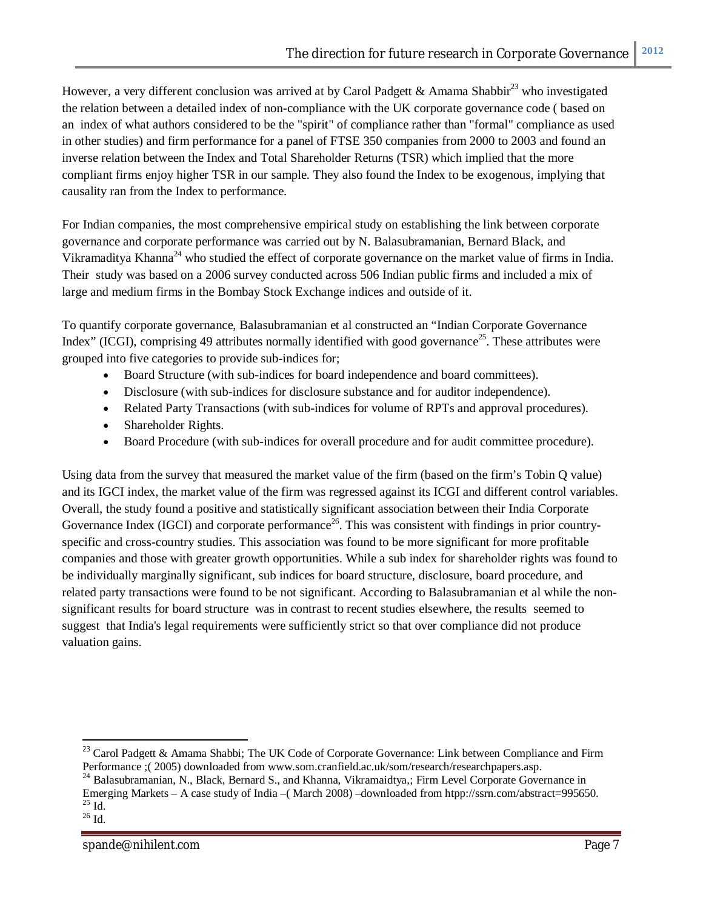However, a very different conclusion was arrived at by Carol Padgett & Amama Shabbir<sup>23</sup> who investigated the relation between a detailed index of non-compliance with the UK corporate governance code ( based on an index of what authors considered to be the "spirit" of compliance rather than "formal" compliance as used in other studies) and firm performance for a panel of FTSE 350 companies from 2000 to 2003 and found an inverse relation between the Index and Total Shareholder Returns (TSR) which implied that the more compliant firms enjoy higher TSR in our sample. They also found the Index to be exogenous, implying that causality ran from the Index to performance.

For Indian companies, the most comprehensive empirical study on establishing the link between corporate governance and corporate performance was carried out by N. Balasubramanian, Bernard Black, and Vikramaditya Khanna<sup>24</sup> who studied the effect of corporate governance on the market value of firms in India. Their study was based on a 2006 survey conducted across 506 Indian public firms and included a mix of large and medium firms in the Bombay Stock Exchange indices and outside of it.

To quantify corporate governance, Balasubramanian et al constructed an "Indian Corporate Governance Index" (ICGI), comprising 49 attributes normally identified with good governance<sup>25</sup>. These attributes were grouped into five categories to provide sub-indices for;

- Board Structure (with sub-indices for board independence and board committees).
- Disclosure (with sub-indices for disclosure substance and for auditor independence).
- Related Party Transactions (with sub-indices for volume of RPTs and approval procedures).
- Shareholder Rights.
- Board Procedure (with sub-indices for overall procedure and for audit committee procedure).

Using data from the survey that measured the market value of the firm (based on the firm's Tobin Q value) and its IGCI index, the market value of the firm was regressed against its ICGI and different control variables. Overall, the study found a positive and statistically significant association between their India Corporate Governance Index (IGCI) and corporate performance<sup>26</sup>. This was consistent with findings in prior countryspecific and cross-country studies. This association was found to be more significant for more profitable companies and those with greater growth opportunities. While a sub index for shareholder rights was found to be individually marginally significant, sub indices for board structure, disclosure, board procedure, and related party transactions were found to be not significant. According to Balasubramanian et al while the nonsignificant results for board structure was in contrast to recent studies elsewhere, the results seemed to suggest that India's legal requirements were sufficiently strict so that over compliance did not produce valuation gains.

 $\overline{a}$ 

<sup>&</sup>lt;sup>23</sup> Carol Padgett & Amama Shabbi; The UK Code of Corporate Governance: Link between Compliance and Firm Performance ;( 2005) downloaded from www.som.cranfield.ac.uk/som/research/researchpapers.asp.<br><sup>24</sup> Balasubramanian, N., Black, Bernard S., and Khanna, Vikramaidtya,; Firm Level Corporate Governance in

<sup>&</sup>lt;sup>24</sup> Balasubramanian, N., Black, Bernard S., and Khanna, Vikramaidtya,; Firm Level Corporate Governance in Emerging Markets – A case study of India –( March 2008) –downloaded from htpp://ssrn.com/abstract=995650.  $^{25}$  Id.

 $^{26}$  Id.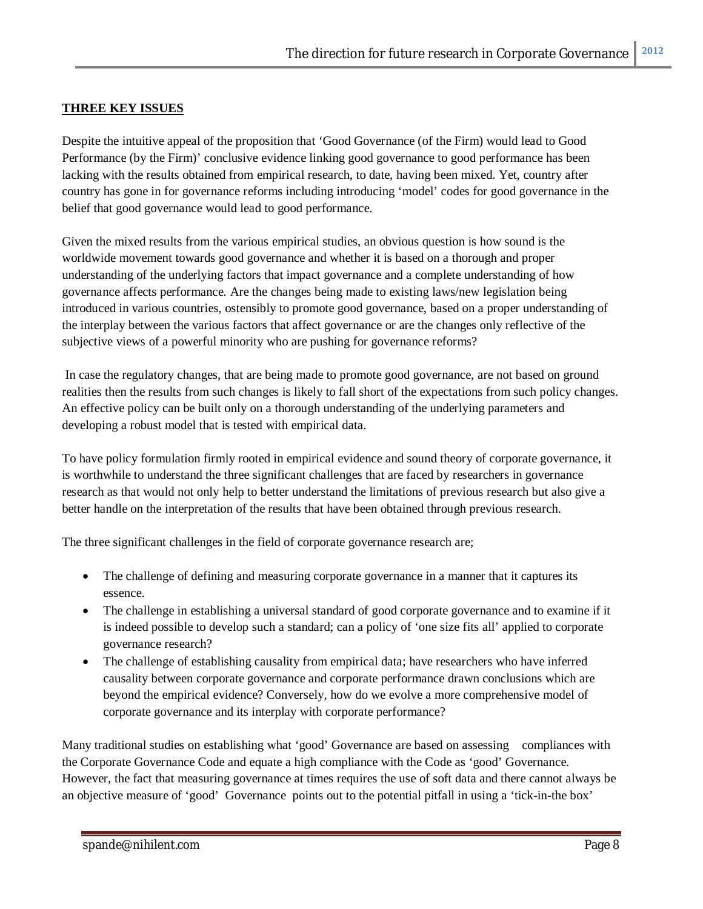#### **THREE KEY ISSUES**

Despite the intuitive appeal of the proposition that 'Good Governance (of the Firm) would lead to Good Performance (by the Firm)' conclusive evidence linking good governance to good performance has been lacking with the results obtained from empirical research, to date, having been mixed. Yet, country after country has gone in for governance reforms including introducing 'model' codes for good governance in the belief that good governance would lead to good performance.

Given the mixed results from the various empirical studies, an obvious question is how sound is the worldwide movement towards good governance and whether it is based on a thorough and proper understanding of the underlying factors that impact governance and a complete understanding of how governance affects performance. Are the changes being made to existing laws/new legislation being introduced in various countries, ostensibly to promote good governance, based on a proper understanding of the interplay between the various factors that affect governance or are the changes only reflective of the subjective views of a powerful minority who are pushing for governance reforms?

In case the regulatory changes, that are being made to promote good governance, are not based on ground realities then the results from such changes is likely to fall short of the expectations from such policy changes. An effective policy can be built only on a thorough understanding of the underlying parameters and developing a robust model that is tested with empirical data.

To have policy formulation firmly rooted in empirical evidence and sound theory of corporate governance, it is worthwhile to understand the three significant challenges that are faced by researchers in governance research as that would not only help to better understand the limitations of previous research but also give a better handle on the interpretation of the results that have been obtained through previous research.

The three significant challenges in the field of corporate governance research are;

- The challenge of defining and measuring corporate governance in a manner that it captures its essence.
- The challenge in establishing a universal standard of good corporate governance and to examine if it is indeed possible to develop such a standard; can a policy of 'one size fits all' applied to corporate governance research?
- The challenge of establishing causality from empirical data; have researchers who have inferred causality between corporate governance and corporate performance drawn conclusions which are beyond the empirical evidence? Conversely, how do we evolve a more comprehensive model of corporate governance and its interplay with corporate performance?

Many traditional studies on establishing what 'good' Governance are based on assessing compliances with the Corporate Governance Code and equate a high compliance with the Code as 'good' Governance. However, the fact that measuring governance at times requires the use of soft data and there cannot always be an objective measure of 'good' Governance points out to the potential pitfall in using a 'tick-in-the box'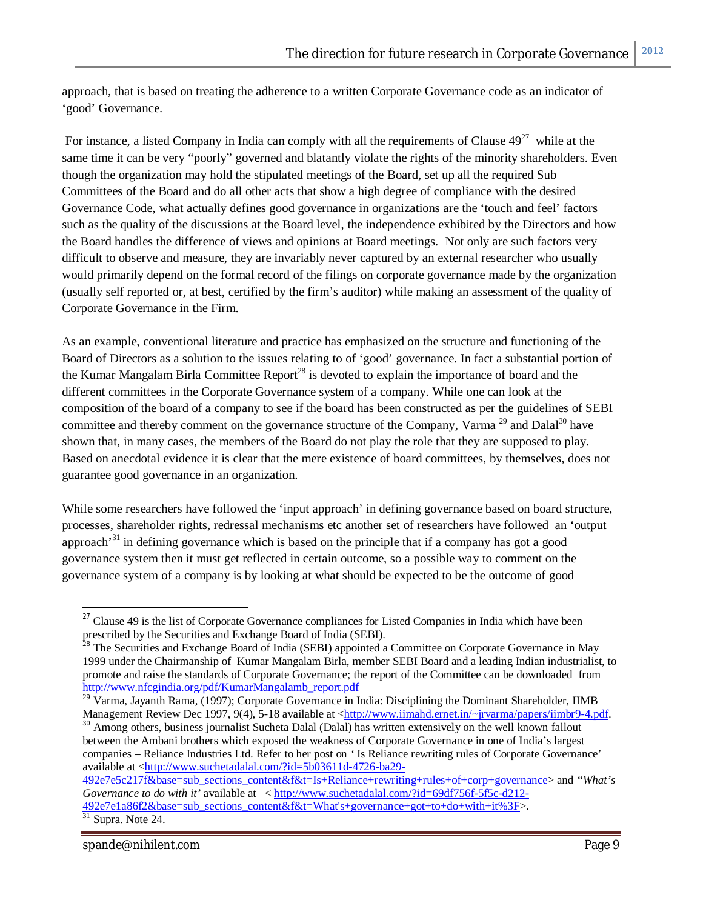approach, that is based on treating the adherence to a written Corporate Governance code as an indicator of 'good' Governance.

For instance, a listed Company in India can comply with all the requirements of Clause  $49<sup>27</sup>$  while at the same time it can be very "poorly" governed and blatantly violate the rights of the minority shareholders. Even though the organization may hold the stipulated meetings of the Board, set up all the required Sub Committees of the Board and do all other acts that show a high degree of compliance with the desired Governance Code, what actually defines good governance in organizations are the 'touch and feel' factors such as the quality of the discussions at the Board level, the independence exhibited by the Directors and how the Board handles the difference of views and opinions at Board meetings. Not only are such factors very difficult to observe and measure, they are invariably never captured by an external researcher who usually would primarily depend on the formal record of the filings on corporate governance made by the organization (usually self reported or, at best, certified by the firm's auditor) while making an assessment of the quality of Corporate Governance in the Firm.

As an example, conventional literature and practice has emphasized on the structure and functioning of the Board of Directors as a solution to the issues relating to of 'good' governance. In fact a substantial portion of the Kumar Mangalam Birla Committee Report<sup>28</sup> is devoted to explain the importance of board and the different committees in the Corporate Governance system of a company. While one can look at the composition of the board of a company to see if the board has been constructed as per the guidelines of SEBI committee and thereby comment on the governance structure of the Company, Varma<sup>29</sup> and Dalal<sup>30</sup> have shown that, in many cases, the members of the Board do not play the role that they are supposed to play. Based on anecdotal evidence it is clear that the mere existence of board committees, by themselves, does not guarantee good governance in an organization.

While some researchers have followed the 'input approach' in defining governance based on board structure, processes, shareholder rights, redressal mechanisms etc another set of researchers have followed an 'output approach<sup>31</sup> in defining governance which is based on the principle that if a company has got a good governance system then it must get reflected in certain outcome, so a possible way to comment on the governance system of a company is by looking at what should be expected to be the outcome of good

492e7e5c217f&base=sub\_sections\_content&f&t=Is+Reliance+rewriting+rules+of+corp+governance> and *"What's Governance to do with it'* available at < http://www.suchetadalal.com/?id=69df756f-5f5c-d212- 492e7e1a86f2&base=sub\_sections\_content&f&t=What's+governance+got+to+do+with+it%3F>.

 $\overline{a}$ <sup>27</sup> Clause 49 is the list of Corporate Governance compliances for Listed Companies in India which have been prescribed by the Securities and Exchange Board of India (SEBI).

<sup>&</sup>lt;sup>28</sup> The Securities and Exchange Board of India (SEBI) appointed a Committee on Corporate Governance in May 1999 under the Chairmanship of Kumar Mangalam Birla, member SEBI Board and a leading Indian industrialist, to promote and raise the standards of Corporate Governance; the report of the Committee can be downloaded from http://www.nfcgindia.org/pdf/KumarMangalamb\_report.pdf<br>29 Vorme, Januar Cameratic Decoration

Varma, Jayanth Rama, (1997); Corporate Governance in India: Disciplining the Dominant Shareholder, IIMB Management Review Dec 1997, 9(4), 5-18 available at <http://www.iimahd.ernet.in/~jrvarma/papers/iimbr9-4.pdf.

<sup>&</sup>lt;sup>30</sup> Among others, business journalist Sucheta Dalal (Dalal) has written extensively on the well known fallout between the Ambani brothers which exposed the weakness of Corporate Governance in one of India's largest companies – Reliance Industries Ltd. Refer to her post on *'* Is Reliance rewriting rules of Corporate Governance' available at <http://www.suchetadalal.com/?id=5b03611d-4726-ba29-

 $31$  Supra. Note 24.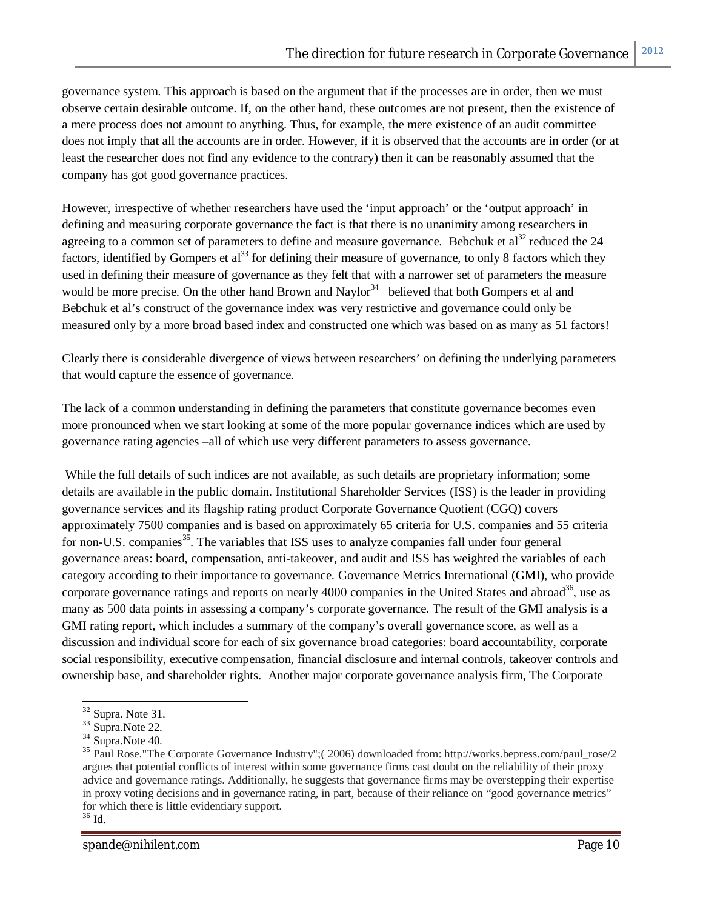governance system. This approach is based on the argument that if the processes are in order, then we must observe certain desirable outcome. If, on the other hand, these outcomes are not present, then the existence of a mere process does not amount to anything. Thus, for example, the mere existence of an audit committee does not imply that all the accounts are in order. However, if it is observed that the accounts are in order (or at least the researcher does not find any evidence to the contrary) then it can be reasonably assumed that the company has got good governance practices.

However, irrespective of whether researchers have used the 'input approach' or the 'output approach' in defining and measuring corporate governance the fact is that there is no unanimity among researchers in agreeing to a common set of parameters to define and measure governance. Bebchuk et  $al^{32}$  reduced the 24 factors, identified by Gompers et al<sup>33</sup> for defining their measure of governance, to only 8 factors which they used in defining their measure of governance as they felt that with a narrower set of parameters the measure would be more precise. On the other hand Brown and Naylor<sup>34</sup> believed that both Gompers et al and Bebchuk et al's construct of the governance index was very restrictive and governance could only be measured only by a more broad based index and constructed one which was based on as many as 51 factors!

Clearly there is considerable divergence of views between researchers' on defining the underlying parameters that would capture the essence of governance.

The lack of a common understanding in defining the parameters that constitute governance becomes even more pronounced when we start looking at some of the more popular governance indices which are used by governance rating agencies –all of which use very different parameters to assess governance.

While the full details of such indices are not available, as such details are proprietary information; some details are available in the public domain. Institutional Shareholder Services (ISS) is the leader in providing governance services and its flagship rating product Corporate Governance Quotient (CGQ) covers approximately 7500 companies and is based on approximately 65 criteria for U.S. companies and 55 criteria for non-U.S. companies<sup>35</sup>. The variables that ISS uses to analyze companies fall under four general governance areas: board, compensation, anti-takeover, and audit and ISS has weighted the variables of each category according to their importance to governance. Governance Metrics International (GMI), who provide corporate governance ratings and reports on nearly 4000 companies in the United States and abroad<sup>36</sup>, use as many as 500 data points in assessing a company's corporate governance. The result of the GMI analysis is a GMI rating report, which includes a summary of the company's overall governance score, as well as a discussion and individual score for each of six governance broad categories: board accountability, corporate social responsibility, executive compensation, financial disclosure and internal controls, takeover controls and ownership base, and shareholder rights. Another major corporate governance analysis firm, The Corporate

 $\overline{a}$ <sup>32</sup> Supra. Note 31.

 $33$  Supra. Note 22.

<sup>&</sup>lt;sup>34</sup> Supra.Note 40.

<sup>35</sup> Paul Rose."The Corporate Governance Industry";( 2006) downloaded from: http://works.bepress.com/paul\_rose/2 argues that potential conflicts of interest within some governance firms cast doubt on the reliability of their proxy advice and governance ratings. Additionally, he suggests that governance firms may be overstepping their expertise in proxy voting decisions and in governance rating, in part, because of their reliance on "good governance metrics" for which there is little evidentiary support.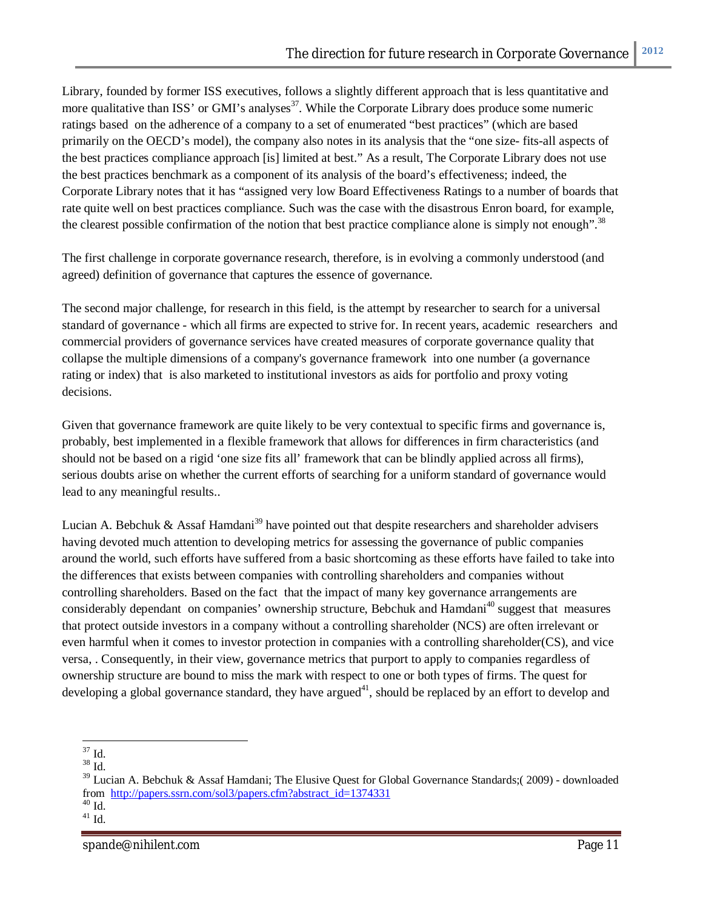Library, founded by former ISS executives, follows a slightly different approach that is less quantitative and more qualitative than ISS' or GMI's analyses<sup>37</sup>. While the Corporate Library does produce some numeric ratings based on the adherence of a company to a set of enumerated "best practices" (which are based primarily on the OECD's model), the company also notes in its analysis that the "one size- fits-all aspects of the best practices compliance approach [is] limited at best." As a result, The Corporate Library does not use the best practices benchmark as a component of its analysis of the board's effectiveness; indeed, the Corporate Library notes that it has "assigned very low Board Effectiveness Ratings to a number of boards that rate quite well on best practices compliance. Such was the case with the disastrous Enron board, for example, the clearest possible confirmation of the notion that best practice compliance alone is simply not enough".<sup>38</sup>

The first challenge in corporate governance research, therefore, is in evolving a commonly understood (and agreed) definition of governance that captures the essence of governance.

The second major challenge, for research in this field, is the attempt by researcher to search for a universal standard of governance - which all firms are expected to strive for. In recent years, academic researchers and commercial providers of governance services have created measures of corporate governance quality that collapse the multiple dimensions of a company's governance framework into one number (a governance rating or index) that is also marketed to institutional investors as aids for portfolio and proxy voting decisions.

Given that governance framework are quite likely to be very contextual to specific firms and governance is, probably, best implemented in a flexible framework that allows for differences in firm characteristics (and should not be based on a rigid 'one size fits all' framework that can be blindly applied across all firms), serious doubts arise on whether the current efforts of searching for a uniform standard of governance would lead to any meaningful results..

Lucian A. Bebchuk & Assaf Hamdani<sup>39</sup> have pointed out that despite researchers and shareholder advisers having devoted much attention to developing metrics for assessing the governance of public companies around the world, such efforts have suffered from a basic shortcoming as these efforts have failed to take into the differences that exists between companies with controlling shareholders and companies without controlling shareholders. Based on the fact that the impact of many key governance arrangements are considerably dependant on companies' ownership structure, Bebchuk and Hamdani<sup>40</sup> suggest that measures that protect outside investors in a company without a controlling shareholder (NCS) are often irrelevant or even harmful when it comes to investor protection in companies with a controlling shareholder(CS), and vice versa, . Consequently, in their view, governance metrics that purport to apply to companies regardless of ownership structure are bound to miss the mark with respect to one or both types of firms. The quest for developing a global governance standard, they have argued<sup>41</sup>, should be replaced by an effort to develop and

 $\overline{a}$  $37$  Id.

 $^{38}$  Id.

<sup>&</sup>lt;sup>39</sup> Lucian A. Bebchuk & Assaf Hamdani; The Elusive Quest for Global Governance Standards; (2009) - downloaded from http://papers.ssrn.com/sol3/papers.cfm?abstract\_id=1374331

 $^{40}$  Id.

 $41$  Id.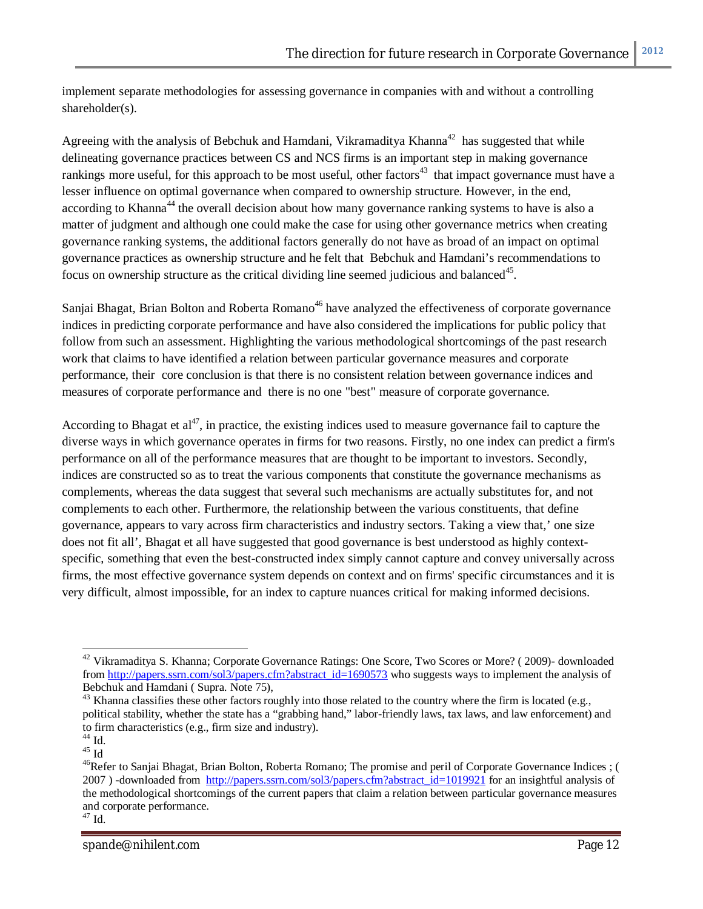implement separate methodologies for assessing governance in companies with and without a controlling shareholder(s).

Agreeing with the analysis of Bebchuk and Hamdani, Vikramaditya Khanna<sup>42</sup> has suggested that while delineating governance practices between CS and NCS firms is an important step in making governance rankings more useful, for this approach to be most useful, other factors<sup>43</sup> that impact governance must have a lesser influence on optimal governance when compared to ownership structure. However, in the end, according to Khanna<sup>44</sup> the overall decision about how many governance ranking systems to have is also a matter of judgment and although one could make the case for using other governance metrics when creating governance ranking systems, the additional factors generally do not have as broad of an impact on optimal governance practices as ownership structure and he felt that Bebchuk and Hamdani's recommendations to focus on ownership structure as the critical dividing line seemed judicious and balanced<sup>45</sup>.

Sanjai Bhagat, Brian Bolton and Roberta Romano<sup>46</sup> have analyzed the effectiveness of corporate governance indices in predicting corporate performance and have also considered the implications for public policy that follow from such an assessment. Highlighting the various methodological shortcomings of the past research work that claims to have identified a relation between particular governance measures and corporate performance, their core conclusion is that there is no consistent relation between governance indices and measures of corporate performance and there is no one "best" measure of corporate governance.

According to Bhagat et  $al^{47}$ , in practice, the existing indices used to measure governance fail to capture the diverse ways in which governance operates in firms for two reasons. Firstly, no one index can predict a firm's performance on all of the performance measures that are thought to be important to investors. Secondly, indices are constructed so as to treat the various components that constitute the governance mechanisms as complements, whereas the data suggest that several such mechanisms are actually substitutes for, and not complements to each other. Furthermore, the relationship between the various constituents, that define governance, appears to vary across firm characteristics and industry sectors. Taking a view that,' one size does not fit all', Bhagat et all have suggested that good governance is best understood as highly contextspecific, something that even the best-constructed index simply cannot capture and convey universally across firms, the most effective governance system depends on context and on firms' specific circumstances and it is very difficult, almost impossible, for an index to capture nuances critical for making informed decisions.

 $47$  Id.

 $\overline{a}$ <sup>42</sup> Vikramaditya S. Khanna; Corporate Governance Ratings: One Score, Two Scores or More? (2009)- downloaded from http://papers.ssrn.com/sol3/papers.cfm?abstract\_id=1690573 who suggests ways to implement the analysis of Bebchuk and Hamdani ( Supra. Note 75),

<sup>&</sup>lt;sup>43</sup> Khanna classifies these other factors roughly into those related to the country where the firm is located (e.g., political stability, whether the state has a "grabbing hand," labor-friendly laws, tax laws, and law enforcement) and to firm characteristics (e.g., firm size and industry).

 $^{44}$  Id.

 $45$  Id

<sup>&</sup>lt;sup>46</sup>Refer to Sanjai Bhagat, Brian Bolton, Roberta Romano; The promise and peril of Corporate Governance Indices ; ( 2007) -downloaded from http://papers.ssrn.com/sol3/papers.cfm?abstract\_id=1019921 for an insightful analysis of the methodological shortcomings of the current papers that claim a relation between particular governance measures and corporate performance.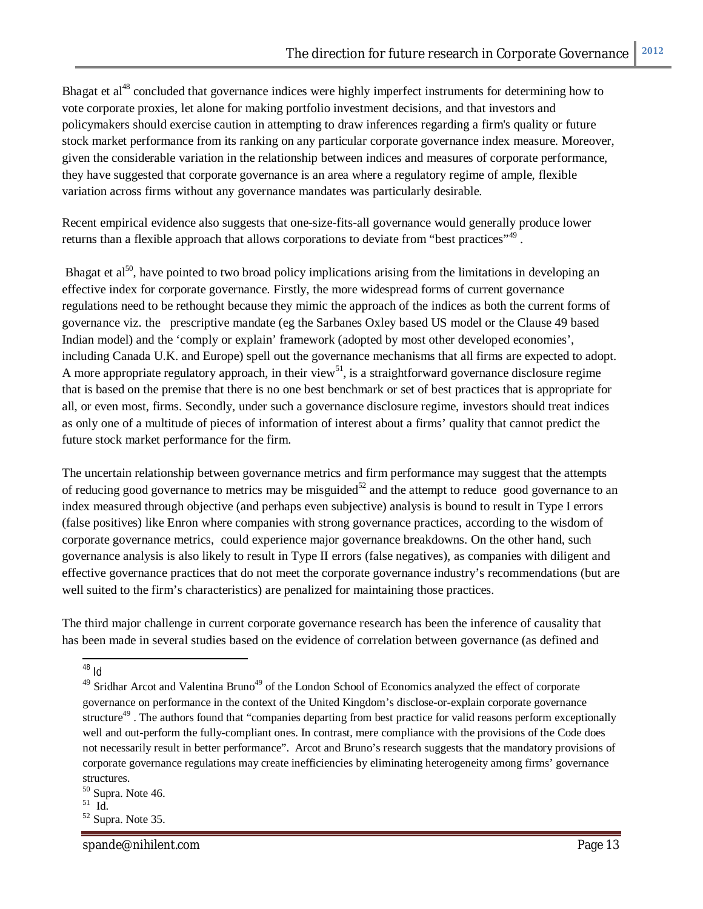Bhagat et al<sup>48</sup> concluded that governance indices were highly imperfect instruments for determining how to vote corporate proxies, let alone for making portfolio investment decisions, and that investors and policymakers should exercise caution in attempting to draw inferences regarding a firm's quality or future stock market performance from its ranking on any particular corporate governance index measure. Moreover, given the considerable variation in the relationship between indices and measures of corporate performance, they have suggested that corporate governance is an area where a regulatory regime of ample, flexible variation across firms without any governance mandates was particularly desirable.

Recent empirical evidence also suggests that one-size-fits-all governance would generally produce lower returns than a flexible approach that allows corporations to deviate from "best practices"<sup>49</sup>.

Bhagat et al<sup>50</sup>, have pointed to two broad policy implications arising from the limitations in developing an effective index for corporate governance. Firstly, the more widespread forms of current governance regulations need to be rethought because they mimic the approach of the indices as both the current forms of governance viz. the prescriptive mandate (eg the Sarbanes Oxley based US model or the Clause 49 based Indian model) and the 'comply or explain' framework (adopted by most other developed economies', including Canada U.K. and Europe) spell out the governance mechanisms that all firms are expected to adopt. A more appropriate regulatory approach, in their view<sup>51</sup>, is a straightforward governance disclosure regime that is based on the premise that there is no one best benchmark or set of best practices that is appropriate for all, or even most, firms. Secondly, under such a governance disclosure regime, investors should treat indices as only one of a multitude of pieces of information of interest about a firms' quality that cannot predict the future stock market performance for the firm.

The uncertain relationship between governance metrics and firm performance may suggest that the attempts of reducing good governance to metrics may be misguided<sup>52</sup> and the attempt to reduce good governance to an index measured through objective (and perhaps even subjective) analysis is bound to result in Type I errors (false positives) like Enron where companies with strong governance practices, according to the wisdom of corporate governance metrics, could experience major governance breakdowns. On the other hand, such governance analysis is also likely to result in Type II errors (false negatives), as companies with diligent and effective governance practices that do not meet the corporate governance industry's recommendations (but are well suited to the firm's characteristics) are penalized for maintaining those practices.

The third major challenge in current corporate governance research has been the inference of causality that has been made in several studies based on the evidence of correlation between governance (as defined and

 $\overline{\phantom{a}}$  $48$  Id

 $49$  Sridhar Arcot and Valentina Bruno<sup>49</sup> of the London School of Economics analyzed the effect of corporate governance on performance in the context of the United Kingdom's disclose-or-explain corporate governance structure<sup>49</sup>. The authors found that "companies departing from best practice for valid reasons perform exceptionally well and out-perform the fully-compliant ones. In contrast, mere compliance with the provisions of the Code does not necessarily result in better performance". Arcot and Bruno's research suggests that the mandatory provisions of corporate governance regulations may create inefficiencies by eliminating heterogeneity among firms' governance structures.

<sup>50</sup> Supra. Note 46.

 $51$  Id.

<sup>52</sup> Supra. Note 35.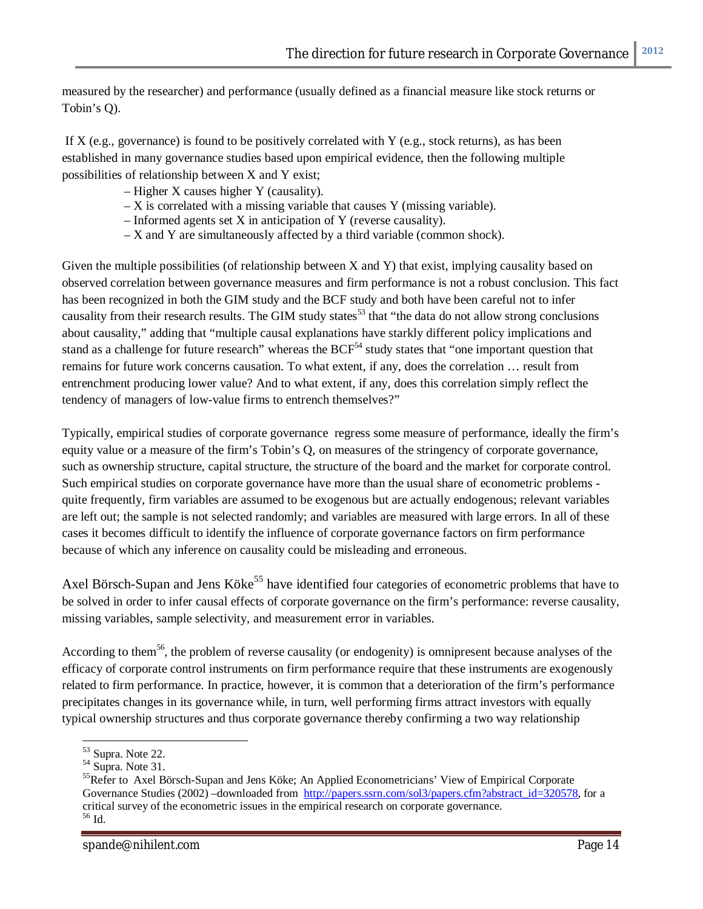measured by the researcher) and performance (usually defined as a financial measure like stock returns or Tobin's Q).

If X (e.g., governance) is found to be positively correlated with Y (e.g., stock returns), as has been established in many governance studies based upon empirical evidence, then the following multiple possibilities of relationship between X and Y exist;

- Higher X causes higher Y (causality).
- $X$  is correlated with a missing variable that causes Y (missing variable).
- Informed agents set X in anticipation of Y (reverse causality).
- X and Y are simultaneously affected by a third variable (common shock).

Given the multiple possibilities (of relationship between  $X$  and  $Y$ ) that exist, implying causality based on observed correlation between governance measures and firm performance is not a robust conclusion. This fact has been recognized in both the GIM study and the BCF study and both have been careful not to infer causality from their research results. The GIM study states<sup>53</sup> that "the data do not allow strong conclusions about causality," adding that "multiple causal explanations have starkly different policy implications and stand as a challenge for future research" whereas the  $BCF<sup>54</sup>$  study states that "one important question that remains for future work concerns causation. To what extent, if any, does the correlation … result from entrenchment producing lower value? And to what extent, if any, does this correlation simply reflect the tendency of managers of low-value firms to entrench themselves?"

Typically, empirical studies of corporate governance regress some measure of performance, ideally the firm's equity value or a measure of the firm's Tobin's Q, on measures of the stringency of corporate governance, such as ownership structure, capital structure, the structure of the board and the market for corporate control. Such empirical studies on corporate governance have more than the usual share of econometric problems quite frequently, firm variables are assumed to be exogenous but are actually endogenous; relevant variables are left out; the sample is not selected randomly; and variables are measured with large errors. In all of these cases it becomes difficult to identify the influence of corporate governance factors on firm performance because of which any inference on causality could be misleading and erroneous.

Axel Börsch-Supan and Jens Köke<sup>55</sup> have identified four categories of econometric problems that have to be solved in order to infer causal effects of corporate governance on the firm's performance: reverse causality, missing variables, sample selectivity, and measurement error in variables.

According to them<sup>56</sup>, the problem of reverse causality (or endogenity) is omnipresent because analyses of the efficacy of corporate control instruments on firm performance require that these instruments are exogenously related to firm performance. In practice, however, it is common that a deterioration of the firm's performance precipitates changes in its governance while, in turn, well performing firms attract investors with equally typical ownership structures and thus corporate governance thereby confirming a two way relationship

 $\overline{a}$ <sup>53</sup> Supra. Note 22.

<sup>&</sup>lt;sup>54</sup> Supra. Note 31.

<sup>&</sup>lt;sup>55</sup>Refer to Axel Börsch-Supan and Jens Köke; An Applied Econometricians' View of Empirical Corporate Governance Studies (2002) –downloaded from http://papers.ssrn.com/sol3/papers.cfm?abstract\_id=320578, for a critical survey of the econometric issues in the empirical research on corporate governance. <sup>56</sup> Id.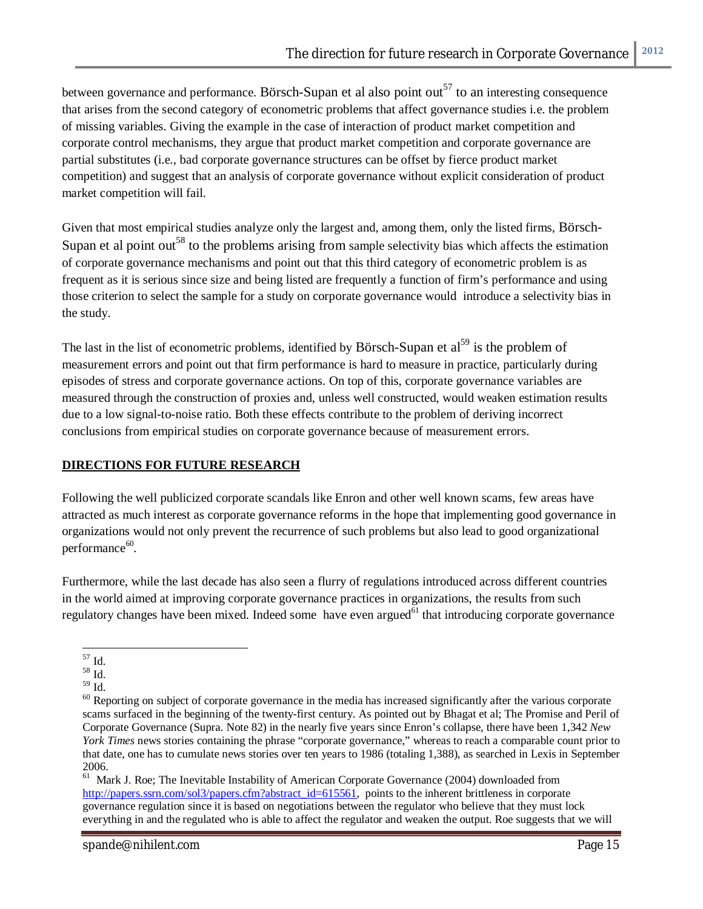between governance and performance. Börsch-Supan et al also point out<sup>57</sup> to an interesting consequence that arises from the second category of econometric problems that affect governance studies i.e. the problem of missing variables. Giving the example in the case of interaction of product market competition and corporate control mechanisms, they argue that product market competition and corporate governance are partial substitutes (i.e., bad corporate governance structures can be offset by fierce product market competition) and suggest that an analysis of corporate governance without explicit consideration of product market competition will fail.

Given that most empirical studies analyze only the largest and, among them, only the listed firms, Börsch-Supan et al point out<sup>58</sup> to the problems arising from sample selectivity bias which affects the estimation of corporate governance mechanisms and point out that this third category of econometric problem is as frequent as it is serious since size and being listed are frequently a function of firm's performance and using those criterion to select the sample for a study on corporate governance would introduce a selectivity bias in the study.

The last in the list of econometric problems, identified by Börsch-Supan et al<sup>59</sup> is the problem of measurement errors and point out that firm performance is hard to measure in practice, particularly during episodes of stress and corporate governance actions. On top of this, corporate governance variables are measured through the construction of proxies and, unless well constructed, would weaken estimation results due to a low signal-to-noise ratio. Both these effects contribute to the problem of deriving incorrect conclusions from empirical studies on corporate governance because of measurement errors.

### **DIRECTIONS FOR FUTURE RESEARCH**

Following the well publicized corporate scandals like Enron and other well known scams, few areas have attracted as much interest as corporate governance reforms in the hope that implementing good governance in organizations would not only prevent the recurrence of such problems but also lead to good organizational performance<sup>60</sup>.

Furthermore, while the last decade has also seen a flurry of regulations introduced across different countries in the world aimed at improving corporate governance practices in organizations, the results from such regulatory changes have been mixed. Indeed some have even argued<sup>61</sup> that introducing corporate governance

 $\overline{a}$  $57$  Id.

<sup>58</sup> Id.

<sup>59</sup> Id.

<sup>&</sup>lt;sup>60</sup> Reporting on subject of corporate governance in the media has increased significantly after the various corporate scams surfaced in the beginning of the twenty-first century. As pointed out by Bhagat et al; The Promise and Peril of Corporate Governance (Supra. Note 82) in the nearly five years since Enron's collapse, there have been 1,342 *New York Times* news stories containing the phrase "corporate governance," whereas to reach a comparable count prior to that date, one has to cumulate news stories over ten years to 1986 (totaling 1,388), as searched in Lexis in September 2006.

<sup>&</sup>lt;sup>61</sup> Mark J. Roe; The Inevitable Instability of American Corporate Governance (2004) downloaded from http://papers.ssrn.com/sol3/papers.cfm?abstract\_id=615561, points to the inherent brittleness in corporate governance regulation since it is based on negotiations between the regulator who believe that they must lock everything in and the regulated who is able to affect the regulator and weaken the output. Roe suggests that we will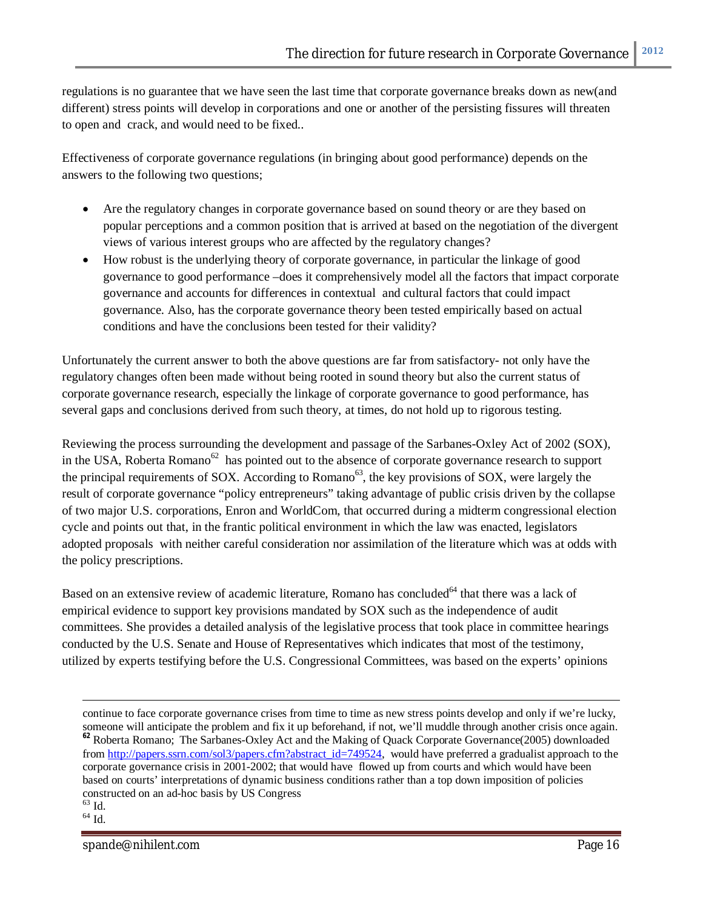regulations is no guarantee that we have seen the last time that corporate governance breaks down as new(and different) stress points will develop in corporations and one or another of the persisting fissures will threaten to open and crack, and would need to be fixed..

Effectiveness of corporate governance regulations (in bringing about good performance) depends on the answers to the following two questions;

- Are the regulatory changes in corporate governance based on sound theory or are they based on popular perceptions and a common position that is arrived at based on the negotiation of the divergent views of various interest groups who are affected by the regulatory changes?
- How robust is the underlying theory of corporate governance, in particular the linkage of good governance to good performance –does it comprehensively model all the factors that impact corporate governance and accounts for differences in contextual and cultural factors that could impact governance. Also, has the corporate governance theory been tested empirically based on actual conditions and have the conclusions been tested for their validity?

Unfortunately the current answer to both the above questions are far from satisfactory- not only have the regulatory changes often been made without being rooted in sound theory but also the current status of corporate governance research, especially the linkage of corporate governance to good performance, has several gaps and conclusions derived from such theory, at times, do not hold up to rigorous testing.

Reviewing the process surrounding the development and passage of the Sarbanes-Oxley Act of 2002 (SOX), in the USA, Roberta Romano<sup>62</sup> has pointed out to the absence of corporate governance research to support the principal requirements of SOX. According to Romano<sup>63</sup>, the key provisions of SOX, were largely the result of corporate governance "policy entrepreneurs" taking advantage of public crisis driven by the collapse of two major U.S. corporations, Enron and WorldCom, that occurred during a midterm congressional election cycle and points out that, in the frantic political environment in which the law was enacted, legislators adopted proposals with neither careful consideration nor assimilation of the literature which was at odds with the policy prescriptions.

Based on an extensive review of academic literature, Romano has concluded<sup>64</sup> that there was a lack of empirical evidence to support key provisions mandated by SOX such as the independence of audit committees. She provides a detailed analysis of the legislative process that took place in committee hearings conducted by the U.S. Senate and House of Representatives which indicates that most of the testimony, utilized by experts testifying before the U.S. Congressional Committees, was based on the experts' opinions

 $\overline{a}$ continue to face corporate governance crises from time to time as new stress points develop and only if we're lucky, someone will anticipate the problem and fix it up beforehand, if not, we'll muddle through another crisis once again. **<sup>62</sup>** Roberta Romano; The Sarbanes-Oxley Act and the Making of Quack Corporate Governance(2005) downloaded from http://papers.ssrn.com/sol3/papers.cfm?abstract\_id=749524, would have preferred a gradualist approach to the corporate governance crisis in 2001-2002; that would have flowed up from courts and which would have been based on courts' interpretations of dynamic business conditions rather than a top down imposition of policies constructed on an ad-hoc basis by US Congress

 $63$  Id.  $64$  Id.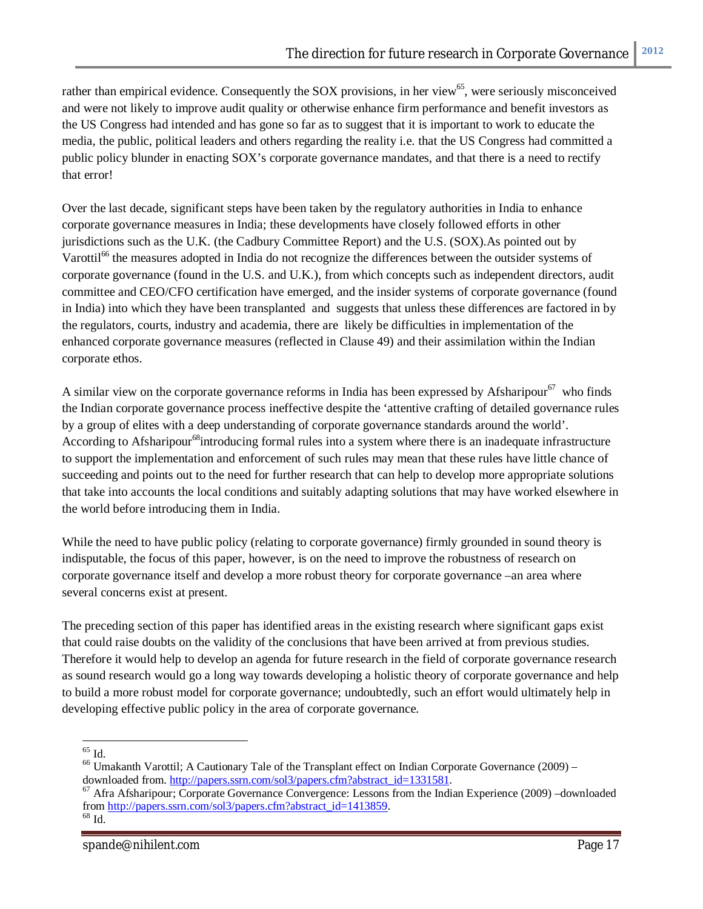rather than empirical evidence. Consequently the SOX provisions, in her view<sup>65</sup>, were seriously misconceived and were not likely to improve audit quality or otherwise enhance firm performance and benefit investors as the US Congress had intended and has gone so far as to suggest that it is important to work to educate the media, the public, political leaders and others regarding the reality i.e. that the US Congress had committed a public policy blunder in enacting SOX's corporate governance mandates, and that there is a need to rectify that error!

Over the last decade, significant steps have been taken by the regulatory authorities in India to enhance corporate governance measures in India; these developments have closely followed efforts in other jurisdictions such as the U.K. (the Cadbury Committee Report) and the U.S. (SOX).As pointed out by Varottil<sup>66</sup> the measures adopted in India do not recognize the differences between the outsider systems of corporate governance (found in the U.S. and U.K.), from which concepts such as independent directors, audit committee and CEO/CFO certification have emerged, and the insider systems of corporate governance (found in India) into which they have been transplanted and suggests that unless these differences are factored in by the regulators, courts, industry and academia, there are likely be difficulties in implementation of the enhanced corporate governance measures (reflected in Clause 49) and their assimilation within the Indian corporate ethos.

A similar view on the corporate governance reforms in India has been expressed by Afsharipour<sup>67</sup> who finds the Indian corporate governance process ineffective despite the 'attentive crafting of detailed governance rules by a group of elites with a deep understanding of corporate governance standards around the world'. According to Afsharipour<sup>68</sup>introducing formal rules into a system where there is an inadequate infrastructure to support the implementation and enforcement of such rules may mean that these rules have little chance of succeeding and points out to the need for further research that can help to develop more appropriate solutions that take into accounts the local conditions and suitably adapting solutions that may have worked elsewhere in the world before introducing them in India.

While the need to have public policy (relating to corporate governance) firmly grounded in sound theory is indisputable, the focus of this paper, however, is on the need to improve the robustness of research on corporate governance itself and develop a more robust theory for corporate governance –an area where several concerns exist at present.

The preceding section of this paper has identified areas in the existing research where significant gaps exist that could raise doubts on the validity of the conclusions that have been arrived at from previous studies. Therefore it would help to develop an agenda for future research in the field of corporate governance research as sound research would go a long way towards developing a holistic theory of corporate governance and help to build a more robust model for corporate governance; undoubtedly, such an effort would ultimately help in developing effective public policy in the area of corporate governance.

 $\overline{a}$  $65$  Id.

<sup>&</sup>lt;sup>66</sup> Umakanth Varottil; A Cautionary Tale of the Transplant effect on Indian Corporate Governance (2009) – downloaded from. http://papers.ssrn.com/sol3/papers.cfm?abstract\_id=1331581.

<sup>&</sup>lt;sup>67</sup> Afra Afsharipour; Corporate Governance Convergence: Lessons from the Indian Experience (2009) –downloaded from http://papers.ssrn.com/sol3/papers.cfm?abstract\_id=1413859.

 $^{68}$  Id.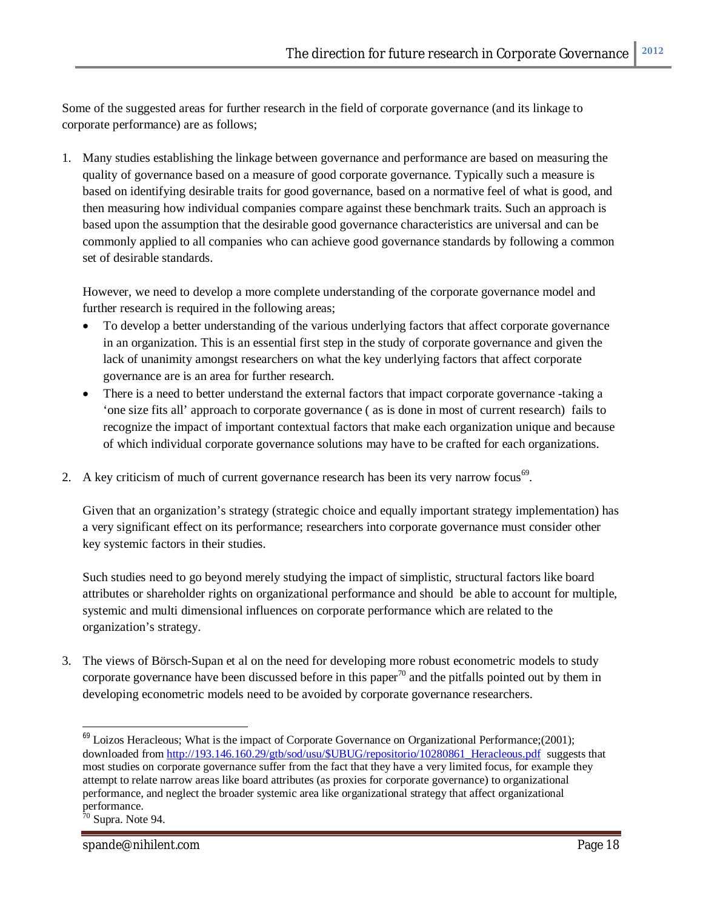Some of the suggested areas for further research in the field of corporate governance (and its linkage to corporate performance) are as follows;

1. Many studies establishing the linkage between governance and performance are based on measuring the quality of governance based on a measure of good corporate governance. Typically such a measure is based on identifying desirable traits for good governance, based on a normative feel of what is good, and then measuring how individual companies compare against these benchmark traits. Such an approach is based upon the assumption that the desirable good governance characteristics are universal and can be commonly applied to all companies who can achieve good governance standards by following a common set of desirable standards.

However, we need to develop a more complete understanding of the corporate governance model and further research is required in the following areas;

- To develop a better understanding of the various underlying factors that affect corporate governance in an organization. This is an essential first step in the study of corporate governance and given the lack of unanimity amongst researchers on what the key underlying factors that affect corporate governance are is an area for further research.
- There is a need to better understand the external factors that impact corporate governance -taking a 'one size fits all' approach to corporate governance ( as is done in most of current research) fails to recognize the impact of important contextual factors that make each organization unique and because of which individual corporate governance solutions may have to be crafted for each organizations.
- 2. A key criticism of much of current governance research has been its very narrow focus<sup>69</sup>.

Given that an organization's strategy (strategic choice and equally important strategy implementation) has a very significant effect on its performance; researchers into corporate governance must consider other key systemic factors in their studies.

Such studies need to go beyond merely studying the impact of simplistic, structural factors like board attributes or shareholder rights on organizational performance and should be able to account for multiple, systemic and multi dimensional influences on corporate performance which are related to the organization's strategy.

3. The views of Börsch-Supan et al on the need for developing more robust econometric models to study corporate governance have been discussed before in this paper<sup>70</sup> and the pitfalls pointed out by them in developing econometric models need to be avoided by corporate governance researchers.

 $\overline{\phantom{a}}$ 

<sup>&</sup>lt;sup>69</sup> Loizos Heracleous; What is the impact of Corporate Governance on Organizational Performance;(2001); downloaded from http://193.146.160.29/gtb/sod/usu/\$UBUG/repositorio/10280861\_Heracleous.pdf suggests that most studies on corporate governance suffer from the fact that they have a very limited focus, for example they attempt to relate narrow areas like board attributes (as proxies for corporate governance) to organizational performance, and neglect the broader systemic area like organizational strategy that affect organizational performance.

<sup>&</sup>lt;sup>70</sup> Supra. Note 94.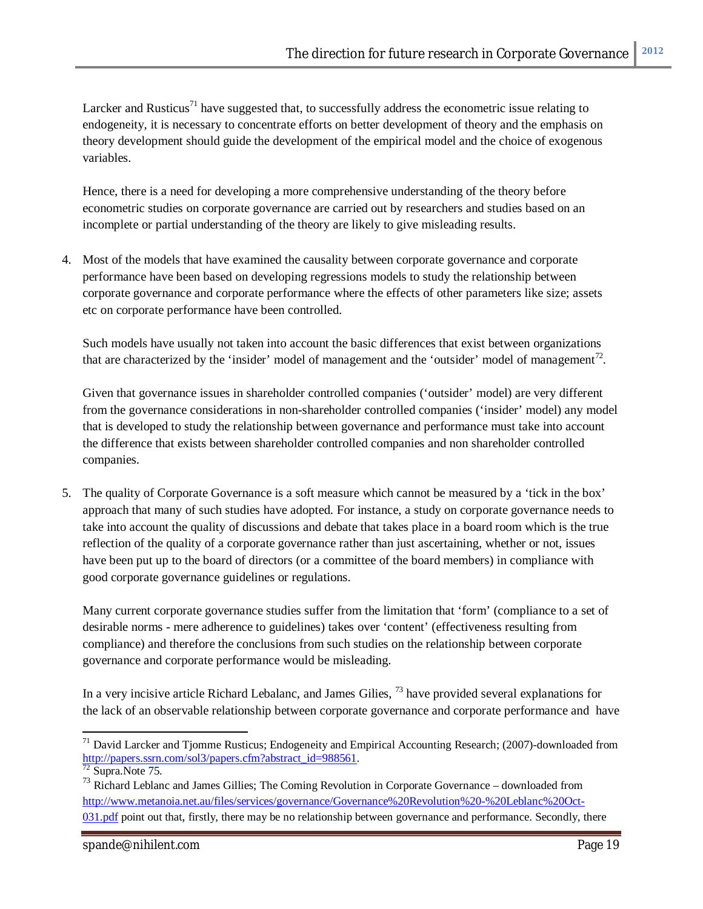Larcker and Rusticus<sup>71</sup> have suggested that, to successfully address the econometric issue relating to endogeneity, it is necessary to concentrate efforts on better development of theory and the emphasis on theory development should guide the development of the empirical model and the choice of exogenous variables.

Hence, there is a need for developing a more comprehensive understanding of the theory before econometric studies on corporate governance are carried out by researchers and studies based on an incomplete or partial understanding of the theory are likely to give misleading results.

4. Most of the models that have examined the causality between corporate governance and corporate performance have been based on developing regressions models to study the relationship between corporate governance and corporate performance where the effects of other parameters like size; assets etc on corporate performance have been controlled.

Such models have usually not taken into account the basic differences that exist between organizations that are characterized by the 'insider' model of management and the 'outsider' model of management<sup>72</sup>.

Given that governance issues in shareholder controlled companies ('outsider' model) are very different from the governance considerations in non-shareholder controlled companies ('insider' model) any model that is developed to study the relationship between governance and performance must take into account the difference that exists between shareholder controlled companies and non shareholder controlled companies.

5. The quality of Corporate Governance is a soft measure which cannot be measured by a 'tick in the box' approach that many of such studies have adopted. For instance, a study on corporate governance needs to take into account the quality of discussions and debate that takes place in a board room which is the true reflection of the quality of a corporate governance rather than just ascertaining, whether or not, issues have been put up to the board of directors (or a committee of the board members) in compliance with good corporate governance guidelines or regulations.

Many current corporate governance studies suffer from the limitation that 'form' (compliance to a set of desirable norms - mere adherence to guidelines) takes over 'content' (effectiveness resulting from compliance) and therefore the conclusions from such studies on the relationship between corporate governance and corporate performance would be misleading.

In a very incisive article Richard Lebalanc, and James Gilies, <sup>73</sup> have provided several explanations for the lack of an observable relationship between corporate governance and corporate performance and have

 $\overline{\phantom{a}}$  $71$  David Larcker and Tjomme Rusticus; Endogeneity and Empirical Accounting Research; (2007)-downloaded from http://papers.ssrn.com/sol3/papers.cfm?abstract\_id=988561.

 $72$  Supra. Note 75.

<sup>&</sup>lt;sup>73</sup> Richard Leblanc and James Gillies; The Coming Revolution in Corporate Governance – downloaded from http://www.metanoia.net.au/files/services/governance/Governance%20Revolution%20-%20Leblanc%20Oct-031.pdf point out that, firstly, there may be no relationship between governance and performance. Secondly, there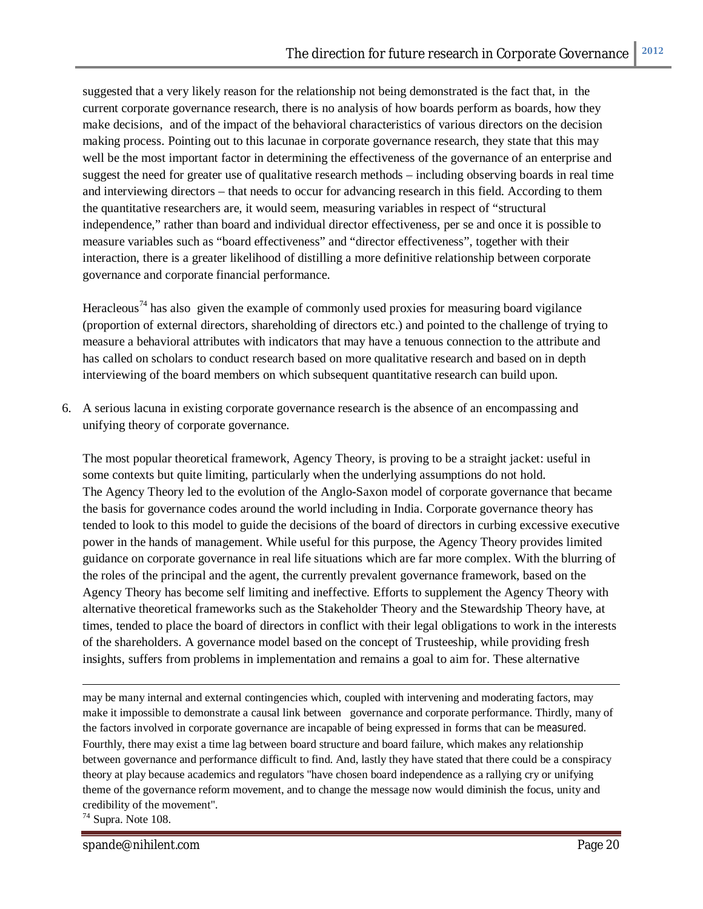suggested that a very likely reason for the relationship not being demonstrated is the fact that, in the current corporate governance research, there is no analysis of how boards perform as boards, how they make decisions, and of the impact of the behavioral characteristics of various directors on the decision making process. Pointing out to this lacunae in corporate governance research, they state that this may well be the most important factor in determining the effectiveness of the governance of an enterprise and suggest the need for greater use of qualitative research methods – including observing boards in real time and interviewing directors – that needs to occur for advancing research in this field. According to them the quantitative researchers are, it would seem, measuring variables in respect of "structural independence," rather than board and individual director effectiveness, per se and once it is possible to measure variables such as "board effectiveness" and "director effectiveness", together with their interaction, there is a greater likelihood of distilling a more definitive relationship between corporate governance and corporate financial performance.

Heracleous<sup>74</sup> has also given the example of commonly used proxies for measuring board vigilance (proportion of external directors, shareholding of directors etc.) and pointed to the challenge of trying to measure a behavioral attributes with indicators that may have a tenuous connection to the attribute and has called on scholars to conduct research based on more qualitative research and based on in depth interviewing of the board members on which subsequent quantitative research can build upon.

6. A serious lacuna in existing corporate governance research is the absence of an encompassing and unifying theory of corporate governance.

The most popular theoretical framework, Agency Theory, is proving to be a straight jacket: useful in some contexts but quite limiting, particularly when the underlying assumptions do not hold. The Agency Theory led to the evolution of the Anglo-Saxon model of corporate governance that became the basis for governance codes around the world including in India. Corporate governance theory has tended to look to this model to guide the decisions of the board of directors in curbing excessive executive power in the hands of management. While useful for this purpose, the Agency Theory provides limited guidance on corporate governance in real life situations which are far more complex. With the blurring of the roles of the principal and the agent, the currently prevalent governance framework, based on the Agency Theory has become self limiting and ineffective. Efforts to supplement the Agency Theory with alternative theoretical frameworks such as the Stakeholder Theory and the Stewardship Theory have, at times, tended to place the board of directors in conflict with their legal obligations to work in the interests of the shareholders. A governance model based on the concept of Trusteeship, while providing fresh insights, suffers from problems in implementation and remains a goal to aim for. These alternative

may be many internal and external contingencies which, coupled with intervening and moderating factors, may make it impossible to demonstrate a causal link between governance and corporate performance. Thirdly, many of the factors involved in corporate governance are incapable of being expressed in forms that can be measured. Fourthly, there may exist a time lag between board structure and board failure, which makes any relationship between governance and performance difficult to find. And, lastly they have stated that there could be a conspiracy theory at play because academics and regulators "have chosen board independence as a rallying cry or unifying theme of the governance reform movement, and to change the message now would diminish the focus, unity and credibility of the movement".

<sup>74</sup> Supra. Note 108.

 $\overline{a}$